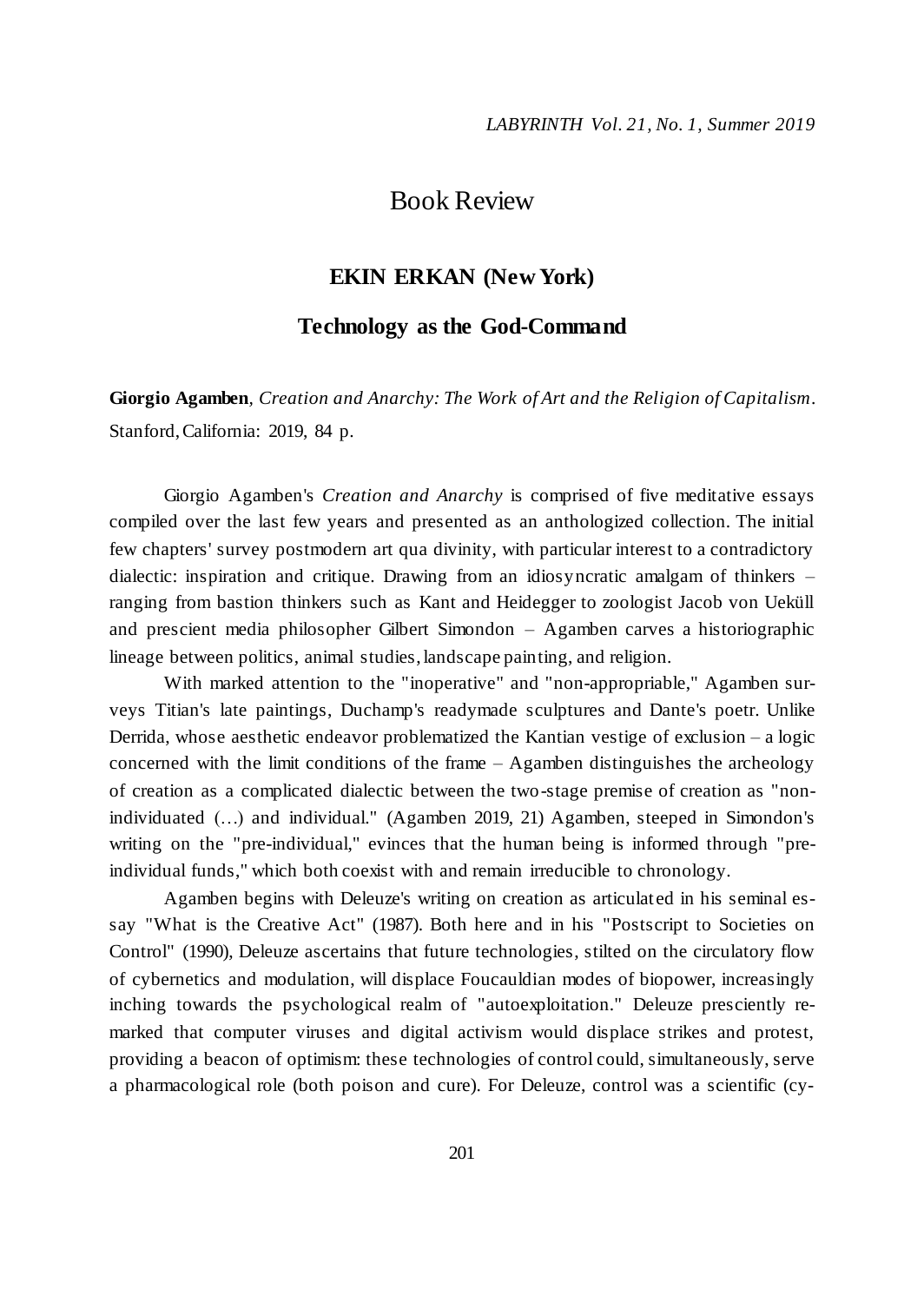## Book Review

## **EKIN ERKAN (New York)**

## **Technology as the God-Command**

**Giorgio Agamben***, Creation and Anarchy: The Work of Art and the Religion of Capitalism*. Stanford, California: 2019, 84 p.

Giorgio Agamben's *Creation and Anarchy* is comprised of five meditative essays compiled over the last few years and presented as an anthologized collection. The initial few chapters' survey postmodern art qua divinity, with particular interest to a contradictory dialectic: inspiration and critique. Drawing from an idiosyncratic amalgam of thinkers – ranging from bastion thinkers such as Kant and Heidegger to zoologist Jacob von Ueküll and prescient media philosopher Gilbert Simondon – Agamben carves a historiographic lineage between politics, animal studies, landscape painting, and religion.

With marked attention to the "inoperative" and "non-appropriable," Agamben surveys Titian's late paintings, Duchamp's readymade sculptures and Dante's poetr. Unlike Derrida, whose aesthetic endeavor problematized the Kantian vestige of exclusion – a logic concerned with the limit conditions of the frame – Agamben distinguishes the archeology of creation as a complicated dialectic between the two-stage premise of creation as "nonindividuated (…) and individual." (Agamben 2019, 21) Agamben, steeped in Simondon's writing on the "pre-individual," evinces that the human being is informed through "preindividual funds," which both coexist with and remain irreducible to chronology.

Agamben begins with Deleuze's writing on creation as articulated in his seminal essay "What is the Creative Act" (1987). Both here and in his "Postscript to Societies on Control" (1990), Deleuze ascertains that future technologies, stilted on the circulatory flow of cybernetics and modulation, will displace Foucauldian modes of biopower, increasingly inching towards the psychological realm of "autoexploitation." Deleuze presciently remarked that computer viruses and digital activism would displace strikes and protest, providing a beacon of optimism: these technologies of control could, simultaneously, serve a pharmacological role (both poison and cure). For Deleuze, control was a scientific (cy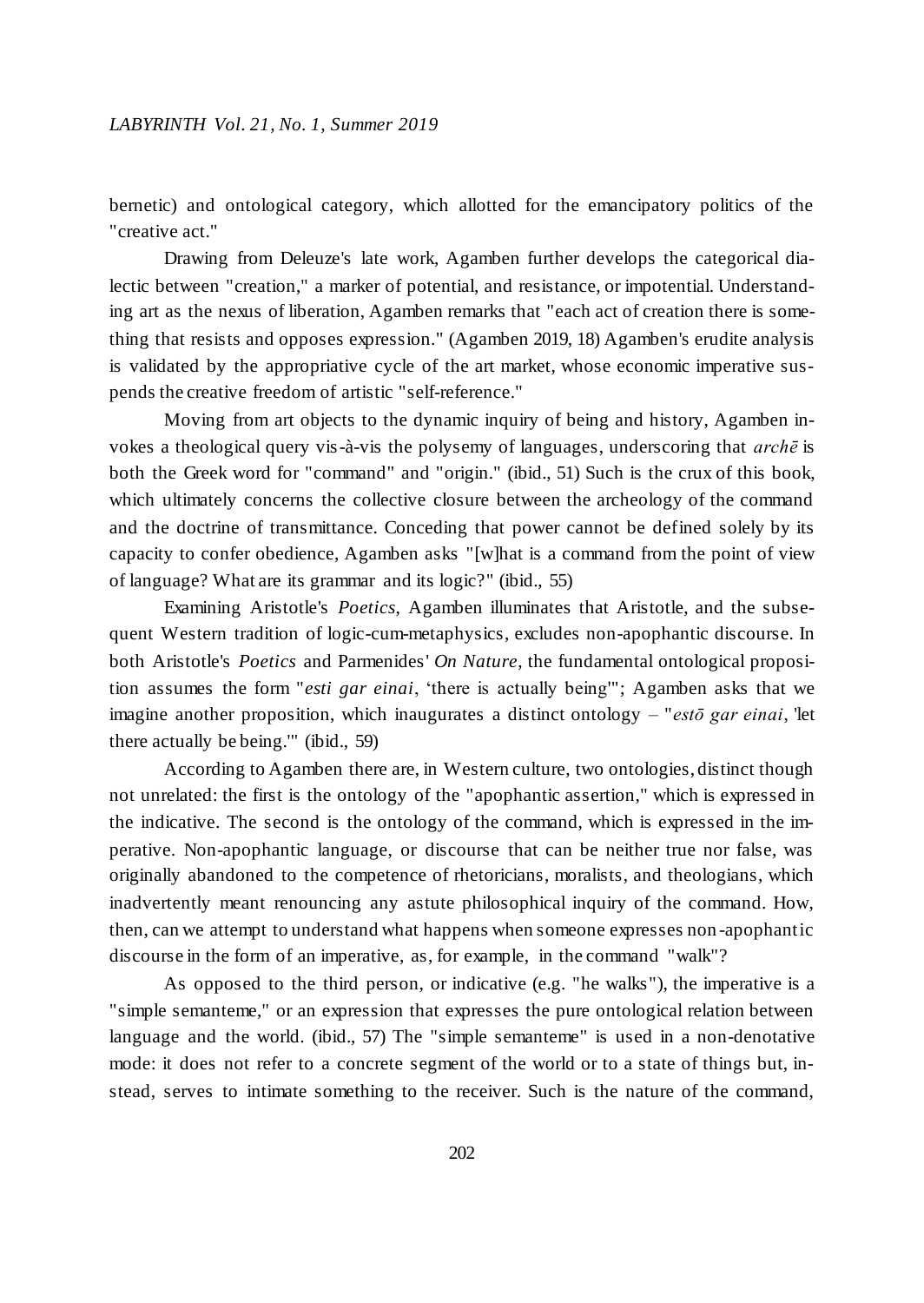bernetic) and ontological category, which allotted for the emancipatory politics of the "creative act."

Drawing from Deleuze's late work, Agamben further develops the categorical dialectic between "creation," a marker of potential, and resistance, or impotential. Understanding art as the nexus of liberation, Agamben remarks that "each act of creation there is something that resists and opposes expression." (Agamben 2019, 18) Agamben's erudite analysis is validated by the appropriative cycle of the art market, whose economic imperative suspends the creative freedom of artistic "self-reference."

Moving from art objects to the dynamic inquiry of being and history, Agamben invokes a theological query vis-à-vis the polysemy of languages, underscoring that *archē* is both the Greek word for "command" and "origin." (ibid., 51) Such is the crux of this book, which ultimately concerns the collective closure between the archeology of the command and the doctrine of transmittance. Conceding that power cannot be defined solely by its capacity to confer obedience, Agamben asks "[w]hat is a command from the point of view of language? What are its grammar and its logic?" (ibid., 55)

Examining Aristotle's *Poetics*, Agamben illuminates that Aristotle, and the subsequent Western tradition of logic-cum-metaphysics, excludes non-apophantic discourse. In both Aristotle's *Poetics* and Parmenides' *On Nature*, the fundamental ontological proposition assumes the form "*esti gar einai*, 'there is actually being'"; Agamben asks that we imagine another proposition, which inaugurates a distinct ontology – "*estō gar einai*, 'let there actually be being.'" (ibid., 59)

According to Agamben there are, in Western culture, two ontologies, distinct though not unrelated: the first is the ontology of the "apophantic assertion," which is expressed in the indicative. The second is the ontology of the command, which is expressed in the imperative. Non-apophantic language, or discourse that can be neither true nor false, was originally abandoned to the competence of rhetoricians, moralists, and theologians, which inadvertently meant renouncing any astute philosophical inquiry of the command. How, then, can we attempt to understand what happens when someone expresses non -apophantic discourse in the form of an imperative, as, for example, in the command "walk"?

As opposed to the third person, or indicative (e.g. "he walks"), the imperative is a "simple semanteme," or an expression that expresses the pure ontological relation between language and the world. (ibid., 57) The "simple semanteme" is used in a non-denotative mode: it does not refer to a concrete segment of the world or to a state of things but, instead, serves to intimate something to the receiver. Such is the nature of the command,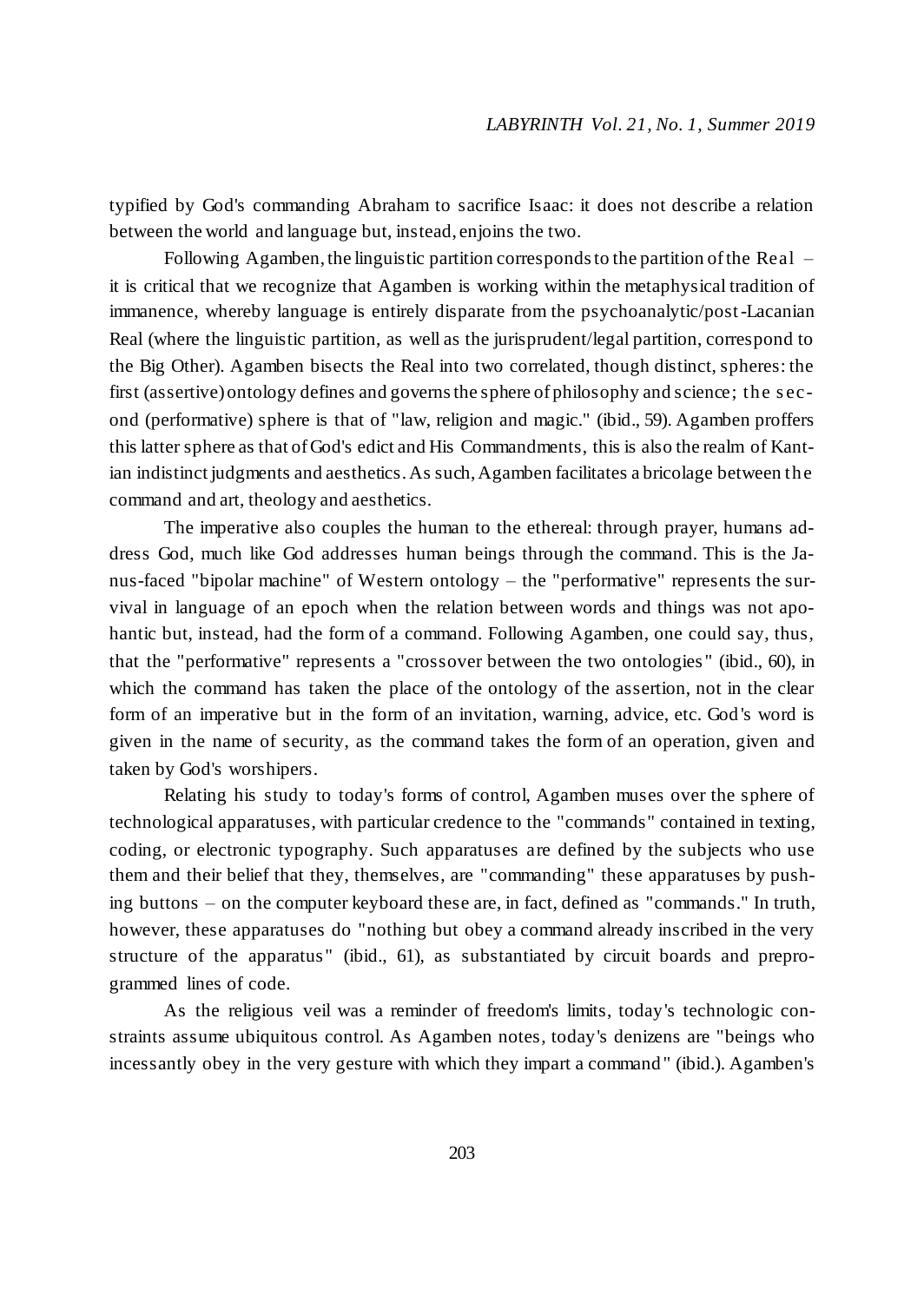typified by God's commanding Abraham to sacrifice Isaac: it does not describe a relation between the world and language but, instead, enjoins the two.

Following Agamben, the linguistic partition corresponds to the partition of the Real – it is critical that we recognize that Agamben is working within the metaphysical tradition of immanence, whereby language is entirely disparate from the psychoanalytic/post-Lacanian Real (where the linguistic partition, as well as the jurisprudent/legal partition, correspond to the Big Other). Agamben bisects the Real into two correlated, though distinct, spheres: the first (assertive) ontology defines and governs the sphere of philosophy and science; the s econd (performative) sphere is that of "law, religion and magic." (ibid., 59). Agamben proffers this latter sphere as that of God's edict and His Commandments, this is also the realm of Kantian indistinct judgments and aesthetics. As such, Agamben facilitates a bricolage between the command and art, theology and aesthetics.

The imperative also couples the human to the ethereal: through prayer, humans address God, much like God addresses human beings through the command. This is the Janus-faced "bipolar machine" of Western ontology – the "performative" represents the survival in language of an epoch when the relation between words and things was not apohantic but, instead, had the form of a command. Following Agamben, one could say, thus, that the "performative" represents a "crossover between the two ontologies " (ibid., 60), in which the command has taken the place of the ontology of the assertion, not in the clear form of an imperative but in the form of an invitation, warning, advice, etc. God 's word is given in the name of security, as the command takes the form of an operation, given and taken by God's worshipers.

Relating his study to today's forms of control, Agamben muses over the sphere of technological apparatuses, with particular credence to the "commands" contained in texting, coding, or electronic typography. Such apparatuses are defined by the subjects who use them and their belief that they, themselves, are "commanding" these apparatuses by pushing buttons – on the computer keyboard these are, in fact, defined as "commands." In truth, however, these apparatuses do "nothing but obey a command already inscribed in the very structure of the apparatus" (ibid., 61), as substantiated by circuit boards and preprogrammed lines of code.

As the religious veil was a reminder of freedom's limits, today's technologic constraints assume ubiquitous control. As Agamben notes, today's denizens are "beings who incessantly obey in the very gesture with which they impart a command" (ibid.). Agamben's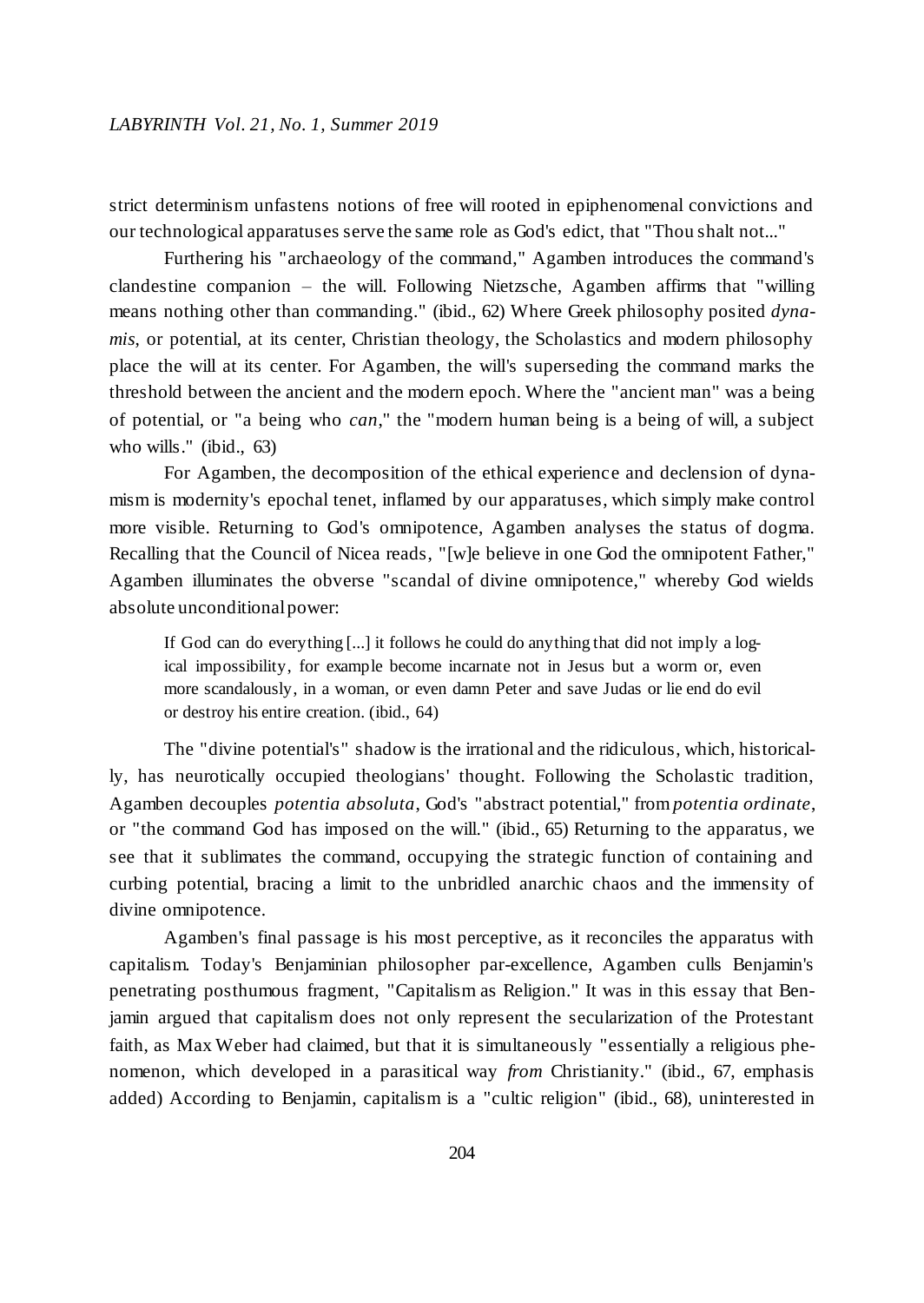strict determinism unfastens notions of free will rooted in epiphenomenal convictions and our technological apparatuses serve the same role as God's edict, that "Thou shalt not..."

Furthering his "archaeology of the command," Agamben introduces the command's clandestine companion – the will. Following Nietzsche, Agamben affirms that "willing means nothing other than commanding." (ibid., 62) Where Greek philosophy posited *dynamis*, or potential, at its center, Christian theology, the Scholastics and modern philosophy place the will at its center. For Agamben, the will's superseding the command marks the threshold between the ancient and the modern epoch. Where the "ancient man" was a being of potential, or "a being who *can*," the "modern human being is a being of will, a subject who wills." (ibid., 63)

For Agamben, the decomposition of the ethical experience and declension of dynamism is modernity's epochal tenet, inflamed by our apparatuses, which simply make control more visible. Returning to God's omnipotence, Agamben analyses the status of dogma. Recalling that the Council of Nicea reads, "[w]e believe in one God the omnipotent Father," Agamben illuminates the obverse "scandal of divine omnipotence," whereby God wields absolute unconditional power:

If God can do everything [...] it follows he could do anything that did not imply a logical impossibility, for example become incarnate not in Jesus but a worm or, even more scandalously, in a woman, or even damn Peter and save Judas or lie end do evil or destroy his entire creation. (ibid., 64)

The "divine potential's" shadow is the irrational and the ridiculous, which, historically, has neurotically occupied theologians' thought. Following the Scholastic tradition, Agamben decouples *potentia absoluta*, God's "abstract potential," from *potentia ordinate*, or "the command God has imposed on the will." (ibid., 65) Returning to the apparatus, we see that it sublimates the command, occupying the strategic function of containing and curbing potential, bracing a limit to the unbridled anarchic chaos and the immensity of divine omnipotence.

Agamben's final passage is his most perceptive, as it reconciles the apparatus with capitalism. Today's Benjaminian philosopher par-excellence, Agamben culls Benjamin's penetrating posthumous fragment, "Capitalism as Religion." It was in this essay that Benjamin argued that capitalism does not only represent the secularization of the Protestant faith, as Max Weber had claimed, but that it is simultaneously "essentially a religious phenomenon, which developed in a parasitical way *from* Christianity." (ibid., 67, emphasis added) According to Benjamin, capitalism is a "cultic religion" (ibid., 68), uninterested in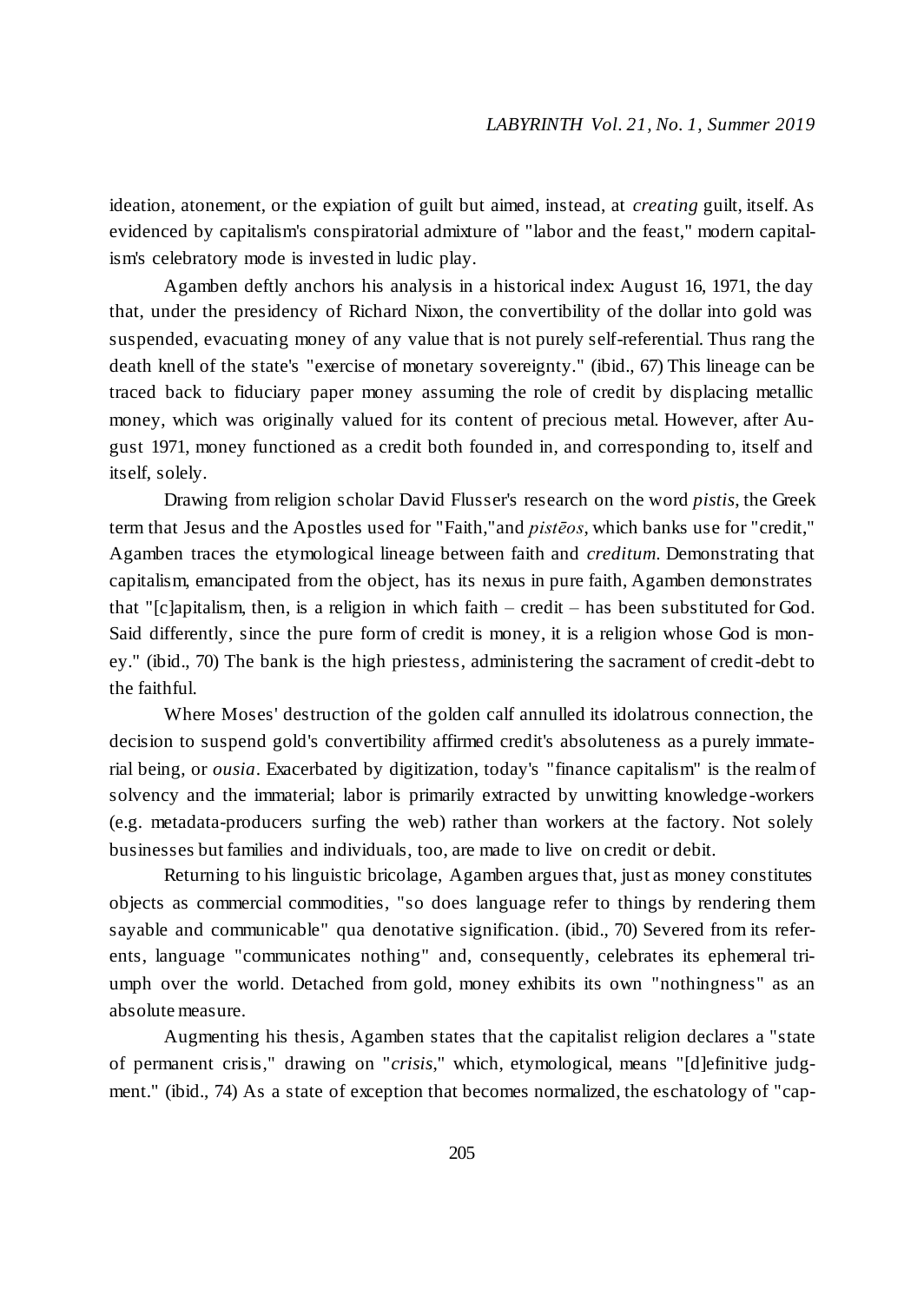ideation, atonement, or the expiation of guilt but aimed, instead, at *creating* guilt, itself. As evidenced by capitalism's conspiratorial admixture of "labor and the feast," modern capitalism's celebratory mode is invested in ludic play.

Agamben deftly anchors his analysis in a historical index: August 16, 1971, the day that, under the presidency of Richard Nixon, the convertibility of the dollar into gold was suspended, evacuating money of any value that is not purely self-referential. Thus rang the death knell of the state's "exercise of monetary sovereignty." (ibid., 67) This lineage can be traced back to fiduciary paper money assuming the role of credit by displacing metallic money, which was originally valued for its content of precious metal. However, after August 1971, money functioned as a credit both founded in, and corresponding to, itself and itself, solely.

Drawing from religion scholar David Flusser's research on the word *pistis*, the Greek term that Jesus and the Apostles used for "Faith,"and *pistēos*, which banks use for "credit," Agamben traces the etymological lineage between faith and *creditum*. Demonstrating that capitalism, emancipated from the object, has its nexus in pure faith, Agamben demonstrates that "[c]apitalism, then, is a religion in which faith – credit – has been substituted for God. Said differently, since the pure form of credit is money, it is a religion whose God is money." (ibid., 70) The bank is the high priestess, administering the sacrament of credit-debt to the faithful.

Where Moses' destruction of the golden calf annulled its idolatrous connection, the decision to suspend gold's convertibility affirmed credit's absoluteness as a purely immaterial being, or *ousia*. Exacerbated by digitization, today's "finance capitalism" is the realm of solvency and the immaterial; labor is primarily extracted by unwitting knowledge -workers (e.g. metadata-producers surfing the web) rather than workers at the factory. Not solely businesses but families and individuals, too, are made to live on credit or debit.

Returning to his linguistic bricolage, Agamben argues that, just as money constitutes objects as commercial commodities, "so does language refer to things by rendering them sayable and communicable" qua denotative signification. (ibid., 70) Severed from its referents, language "communicates nothing" and, consequently, celebrates its ephemeral triumph over the world. Detached from gold, money exhibits its own "nothingness" as an absolute measure.

Augmenting his thesis, Agamben states that the capitalist religion declares a "state of permanent crisis," drawing on "*crisis*," which, etymological, means "[d]efinitive judgment." (ibid., 74) As a state of exception that becomes normalized, the eschatology of "cap